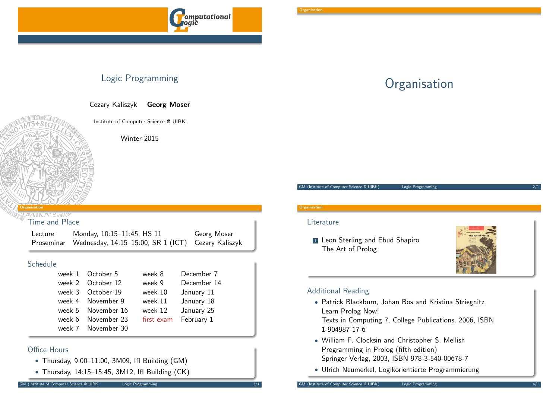

### Logic Programming

Cezary Kaliszyk Georg Moser

Institute of Computer Science @ UIBK

Winter 2015

#### <span id="page-0-0"></span>Organisation

Time and Place

| Lecture | Monday, 10:15-11:45, HS 11                                    | Georg Moser |
|---------|---------------------------------------------------------------|-------------|
|         | Proseminar Wednesday, 14:15-15:00, SR 1 (ICT) Cezary Kaliszyk |             |

### Schedule

| week 1 October 5   | week 8     | December 7  |
|--------------------|------------|-------------|
| week 2 October 12  | week 9     | December 14 |
| week 3 October 19  | week 10    | January 11  |
| week 4 November 9  | week 11    | January 18  |
| week 5 November 16 | week 12    | January 25  |
| week 6 November 23 | first exam | February 1  |
| week 7 November 30 |            |             |

### Office Hours

- Thursday, 9:00–11:00, 3M09, IfI Building (GM)
- [Thursday, 1](https://www.complang.tuwien.ac.at/ulrich/)4:15–15:45, 3M12, IfI Building (CK)

# **Organisation**

GM (Institute of Computer Science @ UIBK) Logic Programming

### **Organisation**

#### **Literature**

**1** Leon Sterling and Ehud Shapiro The Art of Prolog



### Additional Reading

- Patrick Blackburn, Johan Bos and Kristina Striegnitz Learn Prolog Now! Texts in Computing 7, College Publications, 2006, ISBN 1-904987-17-6
- William F. Clocksin and Christopher S. Mellish Programming in Prolog (fifth edition) Springer Verlag, 2003, ISBN 978-3-540-00678-7
- Ulrich Neumerkel, Logikorientierte Programmierung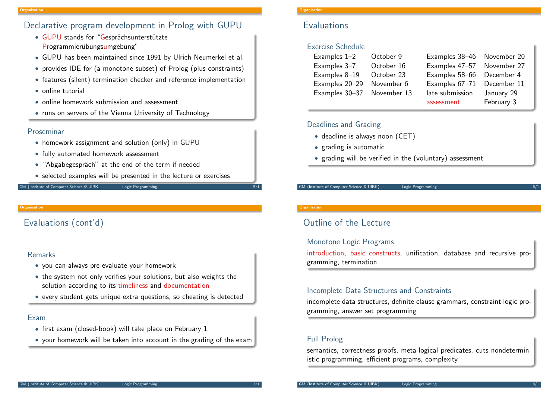### Declarative program development in Prolog with GUPU

- GUPU stands for "Gesprächsunterstützte Programmierübungsumgebung"
- GUPU has been maintained since 1991 by Ulrich Neumerkel et al.
- provides IDE for (a monotone subset) of Prolog (plus constraints)
- features (silent) termination checker and reference implementation
- online tutorial
- online homework submission and assessment
- runs on servers of the Vienna University of Technology

### Proseminar

- homework assignment and solution (only) in GUPU
- fully automated homework assessment
- "Abgabegespräch" at the end of the term if needed
- selected examples will be presented in the lecture or exercises

#### GM (Institute of Computer Science @ UIBK) Logic Programming

#### Organisation

### [E](#page-0-0)valuations (cont'd)

### Remarks

- you can always pre-evaluate your homework
- the system not only verifies your solutions, but also weights the solution according to its timeliness and documentation
- every student gets unique extra questions, so cheating is detected

### Exam

- first exam (closed-book) will take place on February 1
- your homework will be taken into account in the grading of the exam

#### Organisation

### **Evaluations**

### Exercise Schedule

| Examples 1-2   | October 9   | Examples 38-46 November 20 |            |
|----------------|-------------|----------------------------|------------|
| Examples 3-7   | October 16  | Examples 47-57 November 27 |            |
| Examples 8-19  | October 23  | Examples 58-66 December 4  |            |
| Examples 20-29 | November 6  | Examples 67-71 December 11 |            |
| Examples 30-37 | November 13 | late submission            | January 29 |
|                |             | assessment                 | February 3 |

### Deadlines and Grading

- deadline is always noon (CET)
- grading is automatic
- grading will be verified in the (voluntary) assessment

#### GM (Institute of Computer Science @ UIBK) Logic Programming

#### **Organisation**

## Outline of the Lecture

### Monotone Logic Programs

introduction, basic constructs, unification, database and recursive programming, termination

### Incomplete Data Structures and Constraints

incomplete data structures, definite clause grammars, constraint logic programming, answer set programming

### Full Prolog

semantics, correctness proofs, meta-logical predicates, cuts nondeterministic programming, efficient programs, complexity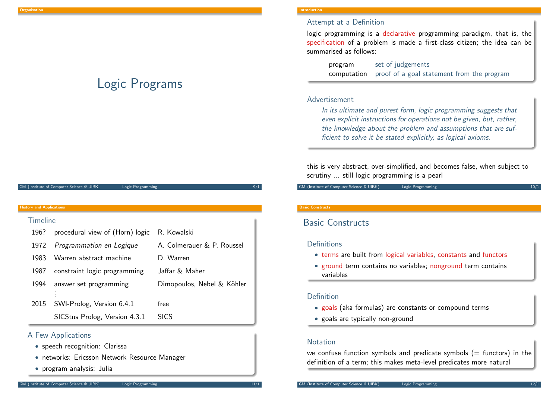## Logic Programs

#### GM (Institute of Computer Science @ UIBK) Logic Programming

#### <span id="page-2-0"></span>History and Applications

| 196? | procedural view of (Horn) logic | R. Kowalski                |
|------|---------------------------------|----------------------------|
| 1972 | Programmation en Logique        | A. Colmerauer & P. Roussel |
| 1983 | Warren abstract machine         | D. Warren                  |
| 1987 | constraint logic programming    | Jaffar & Maher             |
| 1994 | answer set programming          | Dimopoulos, Nebel & Köhler |
|      |                                 |                            |
| 2015 | SWI-Prolog, Version 6.4.1       | free                       |
|      | SICStus Prolog, Version 4.3.1   | <b>SICS</b>                |

### A Few Applications

- speech recognition: Clarissa
- networks: Eri[csson Ne](http://ti.arc.nasa.gov/tech/cas/user-centered-technologies/clarissa/)twork Resource Manager
- pro[gram analysis: Julia](http://sicstus.sics.se/ericsson_nrm.html)

#### Introduction

#### Attempt at a Definition

logic programming is a declarative programming paradigm, that is, the specification of a problem is made a first-class citizen; the idea can be summarised as follows:

program set of judgements computation proof of a goal statement from the program

#### Advertisement

In its ultimate and purest form, logic programming suggests that even explicit instructions for operations not be given, but, rather, the knowledge about the problem and assumptions that are sufficient to solve it be stated explicitly, as logical axioms.

this is very abstract, over-simplified, and becomes false, when subject to scrutiny ... still logic programming is a pearl

GM (Institute of Computer Science @ UIBK) Logic Programming

#### Basic Constructs

### Basic Constructs

#### **Definitions**

- terms are built from logical variables, constants and functors
- ground term contains no variables; nonground term contains variables

#### Definition

- goals (aka formulas) are constants or compound terms
- goals are typically non-ground

#### Notation

we confuse function symbols and predicate symbols  $(=$  functors) in the definition of a term; this makes meta-level predicates more natural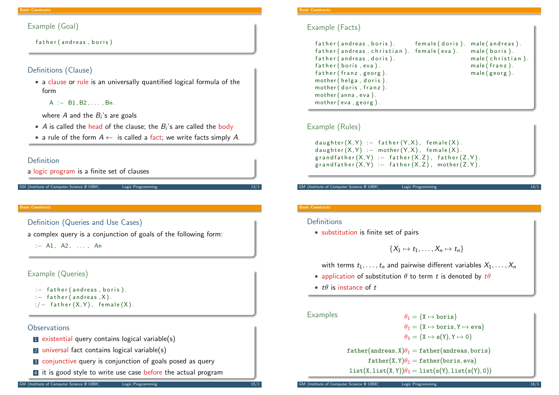```
Example (Goal)
```
father (andreas, boris)

### Definitions (Clause)

• a clause or rule is an universally quantified logical formula of the form

 $A := B1, B2, \ldots, Bn$ 

where  $A$  and the  $B_{i}{^{\prime}}$ s are goals

- $\bullet$  A is called the head of the clause; the  $B_i$ 's are called the body
- a rule of the form  $A \leftarrow$  is called a fact; we write facts simply A.

#### Definition

a logic program is a finite set of clauses

```
M (Institute of Computer Science @ UIBK) Logic Programming
```
#### Basic Constructs

[De](#page-2-0)finition (Queries and Use Cases)

a complex query is a conjunction of goals of the following form:

 $: - A1, A2, ... An$ 

### Example (Queries)

```
: - father (andreas, boris).
: - father (andreas, X).
:/- father (X,Y), female (X).
```
### **Observations**

- 1 existential query contains logical variable(s)
- 2 universal fact contains logical variable(s)
- 3 conjunctive query is conjunction of goals posed as query
- 4 it is good style to write use case before the actual program

### Example (Facts)

| father (andreas, boris).                   | female (doris). male (andreas). |                  |
|--------------------------------------------|---------------------------------|------------------|
| father (andreas, christian). female (eva). |                                 | $male(boris)$ .  |
| father (andreas, doris).                   |                                 | male(christian). |
| father (boris, eva).                       |                                 | male (franz).    |
| father (franz, georg).                     |                                 | $male(georg)$ .  |
| mother (helga, doris).                     |                                 |                  |
| mother (doris, franz).                     |                                 |                  |
| mother(anna, eva).                         |                                 |                  |
| mother (eva, georg).                       |                                 |                  |

### Example (Rules)

d a ughter  $(X, Y)$  : - father  $(Y, X)$ , female  $(X)$ . d a u g h t e r  $(X, Y)$  : – mother  $(Y, X)$ , female  $(X)$ .  $graph(x, Y) := father(X, Z), father(Z, Y).$  $grapher(X,Y) := father(X,Z)$ , mother  $(Z,Y)$ .

GM (Institute of Computer Science @ UIBK) Logic Programmin

#### Basic Constructs

#### **Definitions**

• substitution is finite set of pairs

$$
\{X_1\mapsto t_1,\ldots,X_n\mapsto t_n\}
$$

with terms  $t_1, \ldots, t_n$  and pairwise different variables  $X_1, \ldots, X_n$ 

- application of substitution  $\theta$  to term t is denoted by  $t\theta$
- $t\theta$  is instance of  $t$

Examples  $\theta_1 = \{X \mapsto \text{boris}\}$ 

 $\theta_2 = \{X \mapsto \text{boris}, Y \mapsto \text{eva}\}$  $\theta_3 = \{X \mapsto s(Y), Y \mapsto 0\}$  $father(andreas, X) \theta_1 = father(andreas, boris)$  $father(X, Y)\theta_2 = father(boris, eva)$ 

 $list(X, list(X, Y))\theta_3 = list(s(Y), list(s(Y), 0))$ 

(Institute of Computer Science @ UIBK) Logic Programming